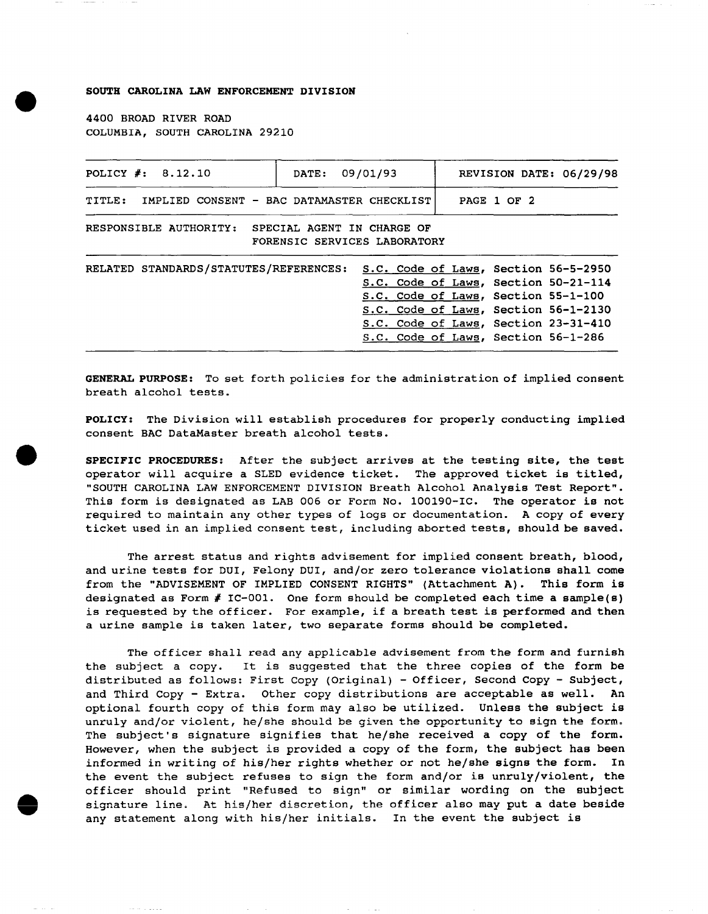#### SOUTH CAROLINA LAW ENFORCEMENT DIVISION

4400 BROAD RIVER ROAD COLUMBIA, SOUTH CAROLINA 29210

| POLICY $#: 8.12.10$                                  | DATE:                      | 09/01/93                                                                                                                                                                                                                                   | REVISION DATE: 06/29/98 |  |
|------------------------------------------------------|----------------------------|--------------------------------------------------------------------------------------------------------------------------------------------------------------------------------------------------------------------------------------------|-------------------------|--|
| TITLE:<br>IMPLIED CONSENT - BAC DATAMASTER CHECKLIST |                            |                                                                                                                                                                                                                                            | PAGE 1 OF 2             |  |
| RESPONSIBLE AUTHORITY:                               | SPECIAL AGENT IN CHARGE OF | FORENSIC SERVICES LABORATORY                                                                                                                                                                                                               |                         |  |
| RELATED STANDARDS/STATUTES/REFERENCES:               |                            | S.C. Code of Laws, Section 56-5-2950<br>S.C. Code of Laws, Section 50-21-114<br>S.C. Code of Laws, Section 55-1-100<br>S.C. Code of Laws, Section 56-1-2130<br>S.C. Code of Laws, Section 23-31-410<br>S.C. Code of Laws, Section 56-1-286 |                         |  |

GENERAL PURPOSE: To set forth policies for the administration of implied consent breath alcohol tests.

POLICY: The Division will establish procedures for properly conducting implied consent BAC DataMaster breath alcohol tests.

SPECIFIC PROCEDURES: After the subject arrives at the testing site, the test operator will acquire a SLED evidence ticket. The approved ticket is titled, "SOUTH CAROLINA LAW ENFORCEMENT DIVISION Breath Alcohol Analysis Test Report". This form is designated as LAB 006 or Form No. 100190-IC. The operator is not required to maintain any other types of logs or documentation. A copy of every ticket used in an implied consent test, including aborted tests, should be saved.

The arrest status and rights advisement for implied consent breath, blood, and urine tests for DUI, Felony DUI, and/or zero tolerance violations shall come from the "ADVISEMENT OF IMPLIED CONSENT RIGHTS" (Attachment A). This form is designated as Form  $\#$  IC-001. One form should be completed each time a sample(s) is requested by the officer. For example, if a breath test is performed and then a urine sample is taken later, two separate forms should be completed.

The officer shall read any applicable advisement from the form and furnish the subject a copy. It is suggested that the three copies of the form be distributed as follows: First Copy (Original) - Officer, Second Copy - Subject, and Third Copy - Extra. Other copy distributions are acceptable as well. An optional fourth copy of this form may also be utilized. Unless the subject is unruly and/or violent, he/she should be given the opportunity to sign the form. The subject's signature signifies that he/she received a copy of the form. However, when the subject is provided a copy of the form, the subject has been informed in writing of his/her rights whether or not he/she signs the form. In the event the subject refuses to sign the form and/or is unruly/violent, the officer should print "Refused to sign" or similar wording on the subject signature line. At his/her discretion, the officer also may put a date beside any statement along with his/her initials. In the event the subject is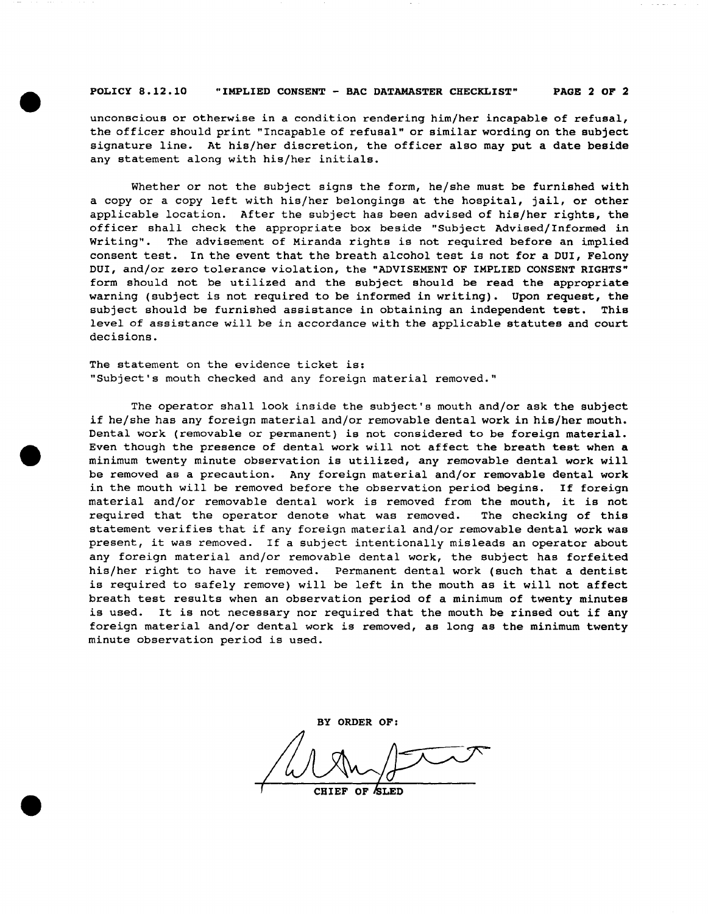#### POLICY 8.12.10 "IMPLIED CONSENT - BAC DATAMASTER CHECKLIST" PAGE 2 OF 2

unconscious or otherwise in a condition rendering him/her incapable of refusal, the officer should print "Incapable of refusal" or similar wording on the subject signature line. At his/her discretion, the officer also may put a date beside any statement along with his/her initials.

Whether or not the subject signs the form, he/she must be furnished with a copy or a copy left with his/her belongings at the hospital, jail, or other applicable location. After the subject has been advised of his/her rights, the officer shall check the appropriate box beside "Subject Advised/Informed in Writing". The advisement of Miranda rights is not required before an implied consent test. In the event that the breath alcohol test is not for a DUI, Felony DUI, and/or zero tolerance violation, the "ADVISEMENT OF IMPLIED CONSENT RIGHTS" form should not be utilized and the subject should be read the appropriate warning (subject is not required to be informed in writing). Upon request, the subject should be furnished assistance in obtaining an independent test. This level of assistance will be in accordance with the applicable statutes and court decisions.

The statement on the evidence ticket is: "Subject's mouth checked and any foreign material removed."

The operator shall look inside the subject's mouth and/or ask the subject if he/she has any foreign material and/or removable dental work in his/her mouth. Dental work (removable or permanent) is not considered to be foreign material. Even though the presence of dental work will not affect the breath test when a minimum twenty minute observation is utilized, any removable dental work will be removed as a precaution. Any foreign material and/or removable dental work in the mouth will be removed before the observation period begins. If foreign material and/or removable dental work is removed from the mouth, it is not required that the operator denote what was removed. The checking of this statement verifies that if any foreign material and/or removable dental work was present, it was removed. If a subject intentionally misleads an operator about any foreign material and/or removable dental work, the subject has forfeited his/her right to have it removed. Permanent dental work (such that a dentist is required to safely remove) will be left in the mouth as it will not affect breath test results when an observation period of a minimum of twenty minutes is used. It is not necessary nor required that the mouth be rinsed out if any foreign material and/or dental work is removed, as long as the minimum twenty minute observation period is used. Bary nor required that the mouth be rinsed out if any lental work is removed, as long as the minimum twenty<br>lis used.

BY ORDER OF: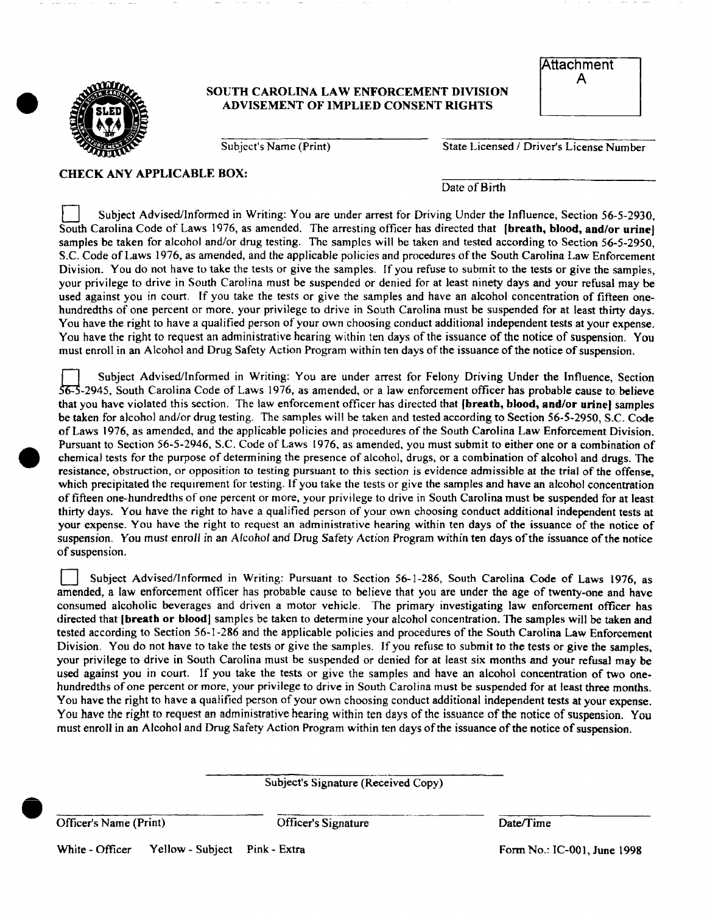## SOUTH CAROLINA LAW ENFORCEMENT DIVISION ADVISEMENT OF IMPLIED CONSENT RIGHTS

| <b>Attachment</b> |  |
|-------------------|--|
|                   |  |

Subject's Name (Print) State Licensed / Driver's License Number

CHECK ANY APPLICABLE BOX:

Date of Birth

Subject Advised/Informed in Writing: You are under arrest for Driving Under the Influence, Section 56-5-2930, South Carolina Code of Laws 1976, as amended. The arresting officer has directed that (**breath, blood, and/or urine**) samples be taken for alcohol and/or drug testing. The samples will be taken and tested according to Section 56-5-2950, S.C. Code of Laws 1976, as amended, and the applicable policies and procedures of the South Carolina Law Enforcement Division. You do not have to take the tests or give the samples. If you refuse to submit to the tests or give the samples, your privilege to drive in South Carolina must be suspended or denied for at least ninety days and your refusal may be used against you in court. If you take the tests or give the samples and have an alcohol concentration of fifteen onehundredths of one percent or more, your privilege to drive in South Carolina must be suspended for at least thirty days. You have the right to have a qualified person of your own choosing conduct additional independent tests at your expense. You have the right to request an administrative hearing within ten days of the issuance of the notice of suspension. You must enroll in an Alcohol and Drug Safety Action Program within ten days of the issuance of the notice of suspension.

n Subject Advised/Informed in Writing: You are under arrest for Felony Driving Under the Influence, Section  $56-5$ -2945, South Carolina Code of Laws 1976, as amended, or a law enforcement officer has probable cause to believe that you have violated this section. The law enforcement officer has directed that (breath, blood, and/or urine) samples be taken for alcohol and/or drug testing. The samples will be taken and tested according to Section 56-5-2950, S.C. Code of Laws 1976, as amended, and the applicable policies and procedures of the South Carolina Law Enforcement Division. Pursuant to Section 56~5-2946, S.C. Code of Laws 1976, as amended, you must submit to either one or a combination of chemical tests for the purpose of determining the presence of alcohol, drugs, or a combination of alcohol and drugs. The resistance, obstruction, or opposition to testing pursuant to this section is evidence admissible at the trial of the offense, which precipitated the requirement for testing. If you take the tests or give the samples and have an alcohol concentration of fifteen one-hundredths of one percent or more, your privilege to drive in South Carolina must be suspended for at least thirty days. You have the right to have a qualified person of your own choosing conduct additional independent tests at your expense. You have the right to request an administrative hearing within ten days of the issuance of the notice of suspension. You must enroll in an Alcohol and Drug Safety Action Program within ten days of the issuance of the notice of suspension.

Subject Advised/Informed in Writing: Pursuant to Section 56-1-286, South Carolina Code of Laws 1976, as amended, a law enforcement officer has probable cause to believe that you are under the age of twenty-one and have consumed alcoholic beverages and driven a motor vehicle. The primary investigating law enforcement officer has directed that [breath or blood] samples be taken to determine your alcohol concentration. The samples will be taken and tested according to Section 56-1-286 and the applicable policies and procedures of the South Carolina Law Enforcement Division. You do not have to take the tests or give the samples. If you refuse to submit to the tests or give the samples, your privilege to drive in South Carolina must be suspended or denied for at least six months and your refusal may be used against you in court. If you take the tests or give the samples and have an alcohol concentration of two onehundredths of one percent or more, your privilege to drive in South Carolina must be suspended for at least three months. You have the right to have a qualified person of your own choosing conduct additional independent tests at your expense. You have the right to request an administrative hearing within ten days of the issuance of the notice of suspension. You must enroll in an Alcohol and Drug Safety Action Program within ten days of the issuance of the notice of suspension.

Subject's Signature (Received Copy)

Officer's Name (Print) Corresponding Corresponding Corresponding to the Date of Time

White - Officer Yellow - Subject Pink - Extra Form No.: IC-001, June 1998